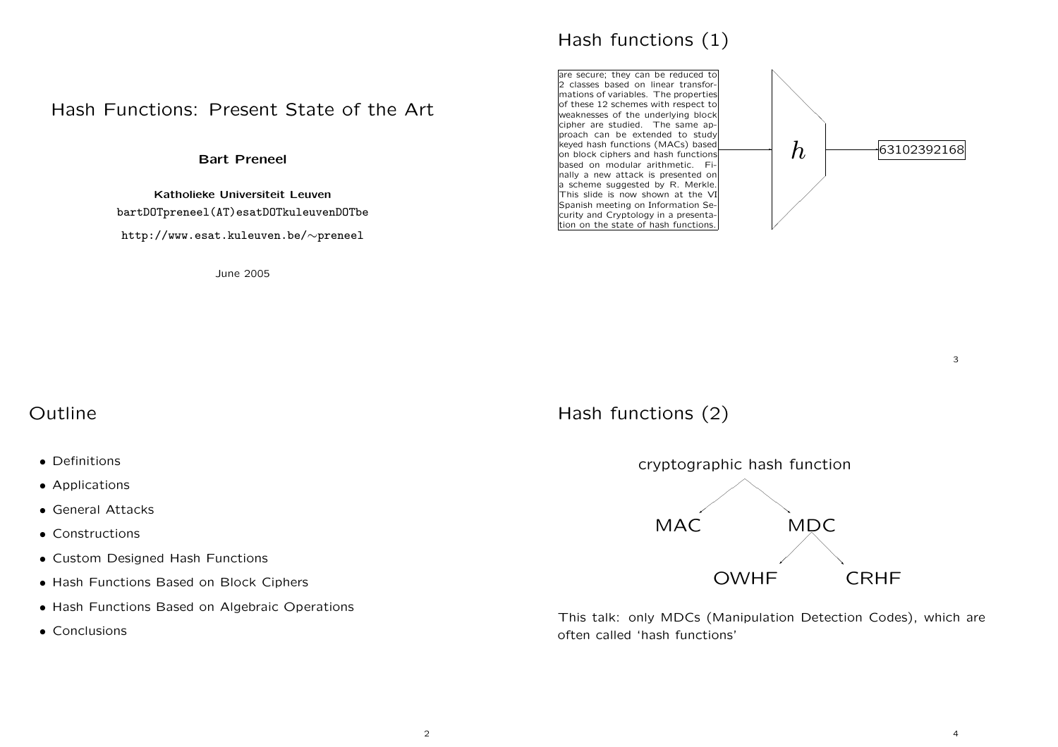## Hash Functions: Present State of the Art

Bart Preneel

Katholieke Universiteit Leuven bartDOTpreneel(AT)esatDOTkuleuvenDOTbe http://www.esat.kuleuven.be/∼prenee<sup>l</sup>

June 2005



✲ are secure; they can be reduced to 2 classes based on linear transfor mations of variables. The properties of these 12 schemes with respect to weaknesses of the underlying block cipher are studied. The same approach can be extended to study keyed hash functions (MACs) based on block ciphers and hash functions based on modular arithmetic. Finally a new attack is presented on <sup>a</sup> scheme suggested by R. Merkle. This slide is now shown at the VI Spanish meeting on Information Security and Cryptology in <sup>a</sup> presentation on the state of hash functions. </del>  $\bigg)$  $h$   $\longrightarrow$  63102392168

3

## Outline

- Definitions
- Applications
- General Attacks
- Constructions
- Custom Designed Hash Functions
- Hash Functions Based on Block Ciphers
- Hash Functions Based on Algebraic Operations
- Conclusions

# Hash functions (2)



This talk: only MDCs (Manipulation Detection Codes), which are often called 'hash functions'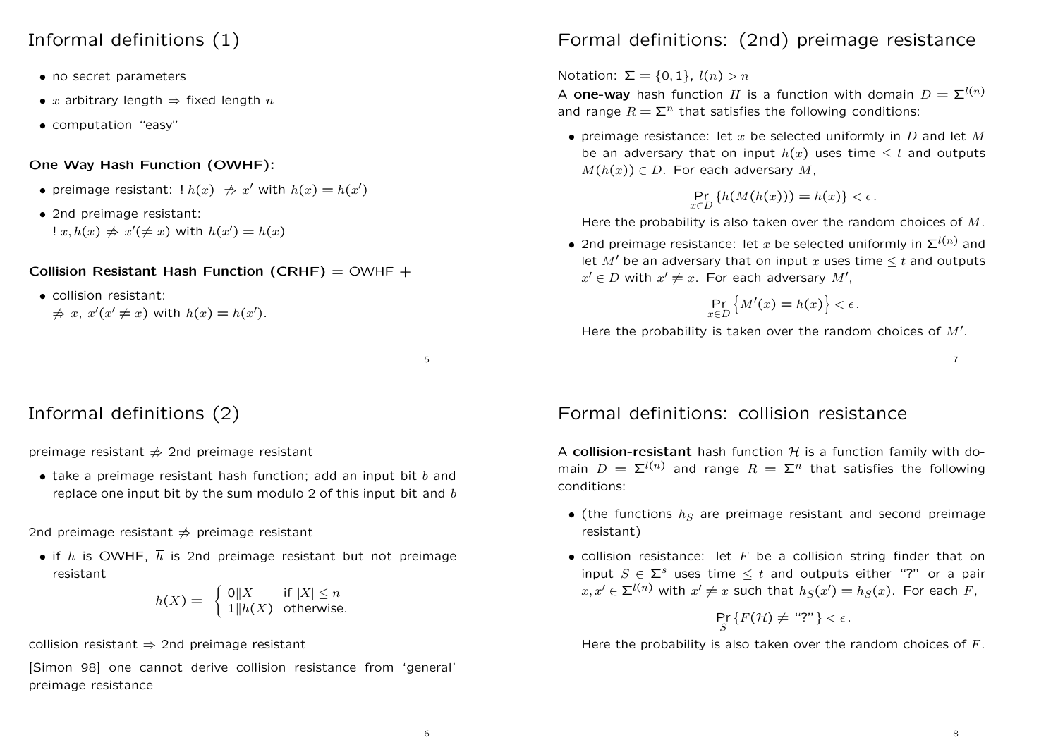### Informal definitions (1)

- no secret parameters
- x arbitrary length  $\Rightarrow$  fixed length n
- computation "easy"

#### One Way Hash Function (OWHF):

- preimage resistant:  $\ln(x) \neq x'$  with  $h(x) = h(x')$
- 2nd preimage resistant:  $x, h(x) \neq x' (\neq x)$  with  $h(x') = h(x)$

Collision Resistant Hash Function (CRHF) =  $OWHF +$ 

- collision resistant:
	- $\Rightarrow x, x'(x' \neq x)$  with  $h(x) = h(x')$ .

5

# Informal definitions (2)

preimage resistant  $\neq$  2nd preimage resistant

• take a preimage resistant hash function; add an input bit  $b$  and replace one input bit by the sum modulo 2 of this input bit and  $b$ 

2nd preimage resistant  $\Rightarrow$  preimage resistant

• if h is OWHF,  $\overline{h}$  is 2nd preimage resistant but not preimage resistant

$$
\overline{h}(X) = \begin{cases} 0 \|X & \text{if } |X| \le n \\ 1 \|h(X) & \text{otherwise.} \end{cases}
$$

collision resistant  $\Rightarrow$  2nd preimage resistant

[Simon 98] one cannot derive collision resistance from 'general' preimage resistance

# Formal definitions: (2nd) preimage resistance

Notation:  $\Sigma = \{0, 1\}, l(n) > n$ 

A **one-way** hash function H is a function with domain  $D = \sum^{l(n)}$ and range  $R = \sum^n$  that satisfies the following conditions:

• preimage resistance: let x be selected uniformly in D and let M be an adversary that on input  $h(x)$  uses time  $\leq t$  and outputs  $M(h(x)) \in D$ . For each adversary M,

$$
\Pr_{x \in D} \{ h(M(h(x))) = h(x) \} < \epsilon.
$$

Here the probability is also taken over the random choices of  $M$ .

• 2nd preimage resistance: let x be selected uniformly in  $\Sigma^{l(n)}$  and let  $M'$  be an adversary that on input x uses time  $\leq t$  and outputs  $x' \in D$  with  $x' \neq x$ . For each adversary M',

$$
\Pr_{x \in D} \left\{ M'(x) = h(x) \right\} < \epsilon.
$$

Here the probability is taken over the random choices of  $M'$ .

7

## Formal definitions: collision resistance

A collision-resistant hash function  $H$  is a function family with domain  $D = \Sigma^{l(n)}$  and range  $R = \Sigma^n$  that satisfies the following conditions:

- (the functions  $h_S$  are preimage resistant and second preimage resistant)
- collision resistance: let  $F$  be a collision string finder that on input  $S \in \Sigma^s$  uses time  $\leq t$  and outputs either "?" or a pair  $x, x' \in \Sigma^{l(n)}$  with  $x' \neq x$  such that  $h_S(x') = h_S(x)$ . For each F,

$$
\Pr_{S} \{ F(\mathcal{H}) \neq \text{``?''} \} < \epsilon.
$$

Here the probability is also taken over the random choices of  $F$ .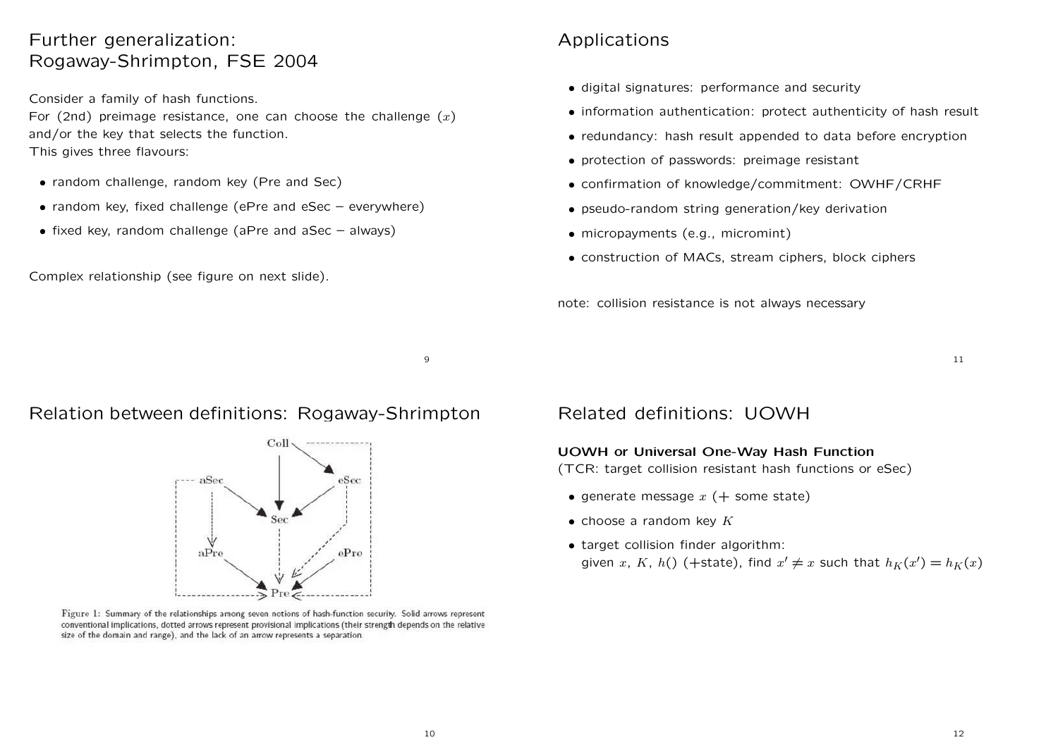## Further generalization: Rogaway-Shrimpton, FSE 2004

Consider <sup>a</sup> family of hash functions.

For (2nd) preimage resistance, one can choose the challenge  $(x)$ and/or the key that selects the function.

This gives three flavours:

- random challenge, random key (Pre and Sec)
- random key, fixed challenge (ePre and eSec everywhere)
- fixed key, random challenge (aPre and aSec always)

Complex relationship (see figure on next slide).

# Applications

- digital signatures: performance and security
- information authentication: protect authenticity of hash result
- redundancy: hash result appended to data before encryption
- protection of passwords: preimage resistant
- confirmation of knowledge/commitment: OWHF/CRHF
- pseudo-random string generation/key derivation
- micropayments (e.g., micromint)
- construction of MACs, stream ciphers, block ciphers

note: collision resistance is not always necessary

11

### Relation between definitions: Rogaway-Shrimpton



Figure 1: Summary of the relationships among seven notions of hash-function security. Solid arrows represent conventional implications, dotted arrows represent provisional implications (their strength depends on the relative size of the domain and range), and the lack of an arrow represents a separation.

## Related definitions: UOWH

#### UOWH or Universal One-Way Hash Function

(TCR: target collision resistant hash functions or eSec)

- generate message  $x$  (+ some state)
- choose a random key  $K$
- target collision finder algorithm: given x, K, h() (+state), find  $x' \neq x$  such that  $h_K(x') = h_K(x)$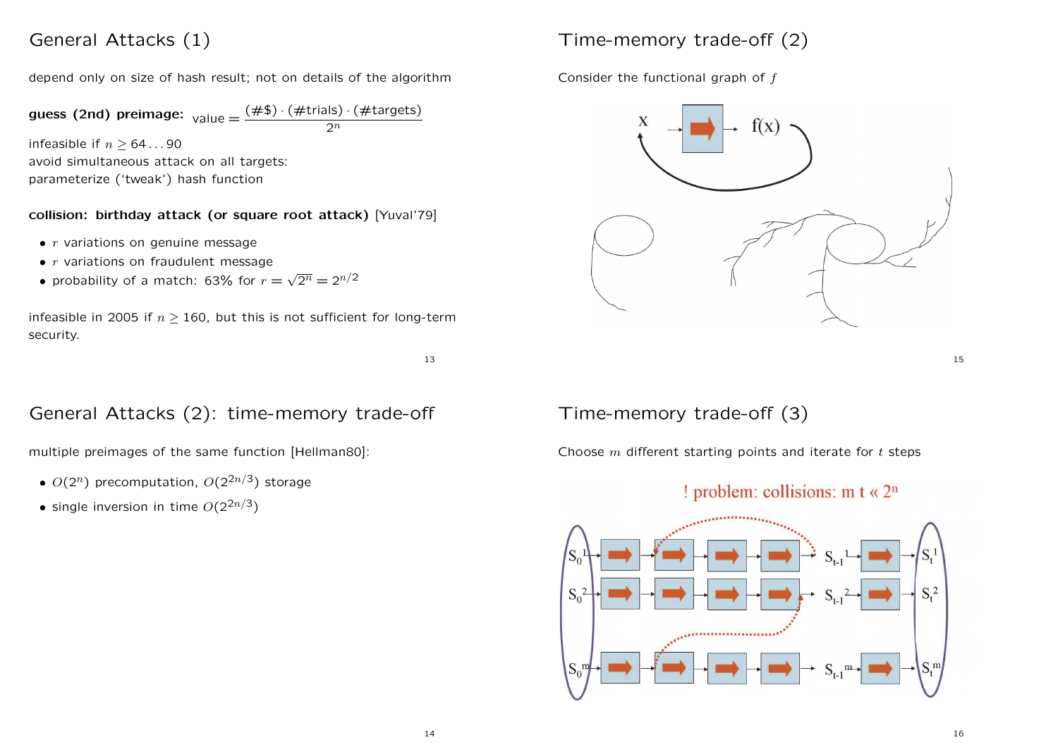## General Attacks (1)

depend only on size of hash result; not on details of the algorithm

**guess (2nd) preimage:** 
$$
value = \frac{(\#\$) \cdot (\# \text{trials}) \cdot (\# \text{targets})}{2^n}
$$

infeasible if  $n \geq 64...90$ avoid simultaneous attack on all targets: parameterize ('tweak') hash function

### collision: birthday attack (or square root attack) [Yuval'79]

- $\bullet$  r variations on genuine message
- $\bullet$  r variations on fraudulent message
- probability of a match: 63% for  $r = \sqrt{2^n} = 2^{n/2}$

infeasible in 2005 if  $n > 160$ , but this is not sufficient for long-term security.

# Time-memory trade-off (2)

Consider the functional graph of f



15

#### 13

## General Attacks (2): time-memory trade-off

multiple preimages of the same function [Hellman80]:

- $O(2^n)$  precomputation,  $O(2^{2n/3})$  storage
- single inversion in time  $O(2^{2n/3})$

## Time-memory trade-off (3)

Choose  $m$  different starting points and iterate for  $t$  steps

### ! problem: collisions: m  $t \ll 2^n$

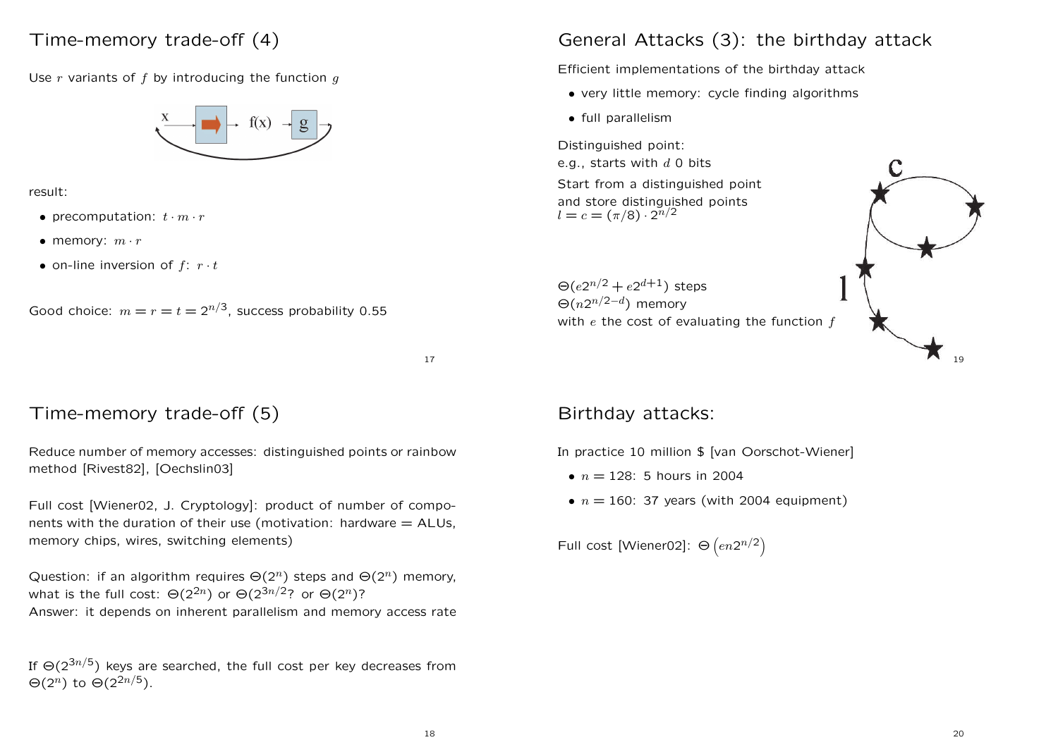## Time-memory trade-off (4)

Use  $r$  variants of  $f$  by introducing the function  $q$ 



result:

- precomputation:  $t \cdot m \cdot r$
- memory:  $m \cdot r$
- on-line inversion of  $f: r \cdot t$

Good choice: 
$$
m = r = t = 2^{n/3}
$$
, success probability 0.55

17

## Time-memory trade-off (5)

Reduce number of memory accesses: distinguished points or rainbow method [Rivest82], [Oechslin03]

Full cost [Wiener02, J. Cryptology]: product of number of components with the duration of their use (motivation: hardware  $=$  ALUs, memory chips, wires, switching elements)

Question: if an algorithm requires  $\Theta(2^n)$  steps and  $\Theta(2^n)$  memory, what is the full cost:  $\Theta(2^{2n})$  or  $\Theta(2^{3n/2})$ ? or  $\Theta(2^n)$ ? Answer: it depends on inherent parallelism and memory access rate

If  $\Theta(2^{3n/5})$  keys are searched, the full cost per key decreases from  $\Theta(2^n)$  to  $\Theta(2^{2n/5})$ .

# General Attacks (3): the birthday attack

Efficient implementations of the birthday attack

- very little memory: cycle finding algorithms
- full parallelism

Distinguished point: e.g., starts with  $d$  0 bits Start from <sup>a</sup> distinguished point and store distinguished points  $l = c = (\pi/8) \cdot 2^{n/2}$ 

 $\Theta(e2^{n/2} + e2^{d+1})$  steps  $\Theta(n2^{n/2-d})$  memory with  $e$  the cost of evaluating the function  $f$ 



## Birthday attacks:

In practice 10 million \$ [van Oorschot-Wiener]

- $n = 128$ : 5 hours in 2004
- $n = 160$ : 37 years (with 2004 equipment)

Full cost [Wiener02]:  $\Theta\left(en2^{n/2}\right)$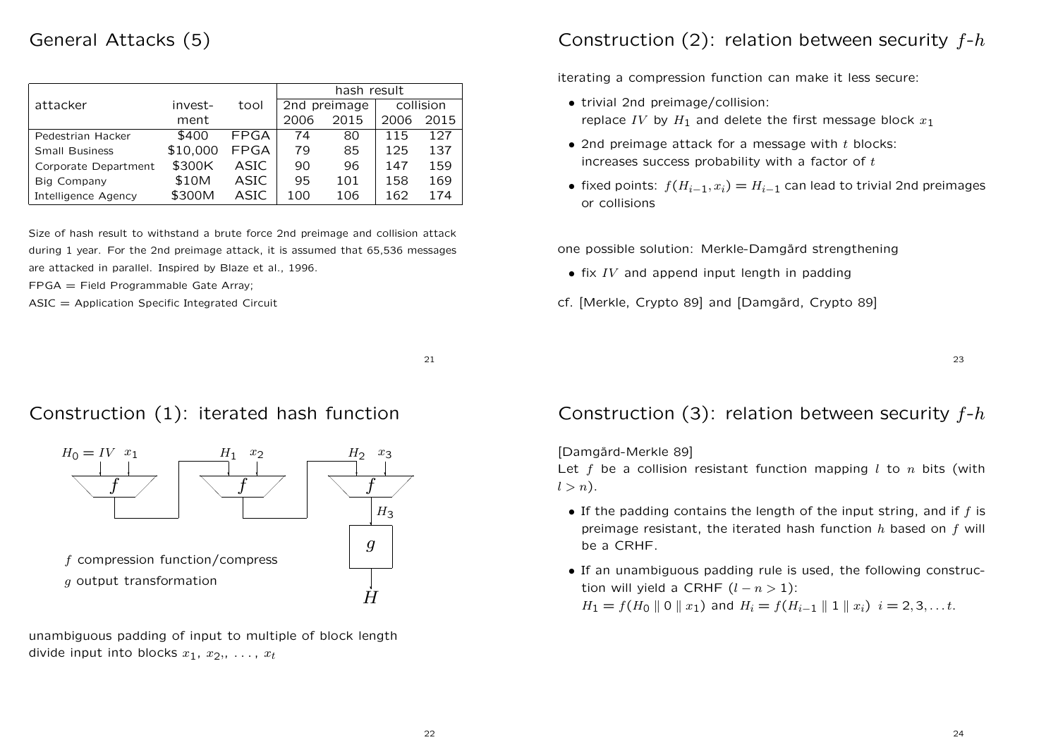## General Attacks (5)

|                            |          |             | hash result  |      |           |      |
|----------------------------|----------|-------------|--------------|------|-----------|------|
| attacker                   | invest-  | tool        | 2nd preimage |      | collision |      |
|                            | ment     |             | 2006         | 2015 | 2006      | 2015 |
| Pedestrian Hacker          | \$400    | FPGA        | 74           | 80   | 115       | 127  |
| <b>Small Business</b>      | \$10,000 | <b>FPGA</b> | 79           | 85   | 125       | 137  |
| Corporate Department       | \$300K   | <b>ASIC</b> | 90           | 96   | 147       | 159  |
| Big Company                | \$10M    | ASIC        | 95           | 101  | 158       | 169  |
| <b>Intelligence Agency</b> | \$300M   | ASIC        | 100          | 106  | 162       | 174  |

Size of hash result to withstand <sup>a</sup> brute force 2nd preimage and collision attack during 1 year. For the 2nd preimage attack, it is assumed that 65,536 messages are attacked in parallel. Inspired by Blaze et al., 1996.

FPGA <sup>=</sup> Field Programmable Gate Array;

 $ASIC = Application Specific Integrated Circuit$ 

#### 21

## Construction (1): iterated hash function



unambiguous padding of input to multiple of block length divide input into blocks  $x_1, x_2, \ldots, x_t$ 

# Construction (2): relation between security  $f-h$

iterating <sup>a</sup> compression function can make it less secure:

- trivial 2nd preimage/collision: replace IV by  $H_1$  and delete the first message block  $x_1$
- 2nd preimage attack for a message with  $t$  blocks: increases success probability with a factor of  $t$
- fixed points:  $f(H_{i-1}, x_i) = H_{i-1}$  can lead to trivial 2nd preimages or collisions

one possible solution: Merkle-Damgård strengthening

- $\bullet$  fix IV and append input length in padding
- cf. [Merkle, Crypto 89] and [Damgård, Crypto 89]

23

## Construction (3): relation between security  $f-h$

[Damgård-Merkle 89]

Let f be a collision resistant function mapping  $l$  to  $n$  bits (with  $l > n$ ).

- If the padding contains the length of the input string, and if  $f$  is preimage resistant, the iterated hash function  $h$  based on  $f$  will be a CRHF.
- If an unambiguous padding rule is used, the following construction will yield a CRHF  $(l - n > 1)$ :  $H_1 = f(H_0 \parallel 0 \parallel x_1)$  and  $H_i = f(H_{i-1} \parallel 1 \parallel x_i)$   $i = 2, 3, \dots t$ .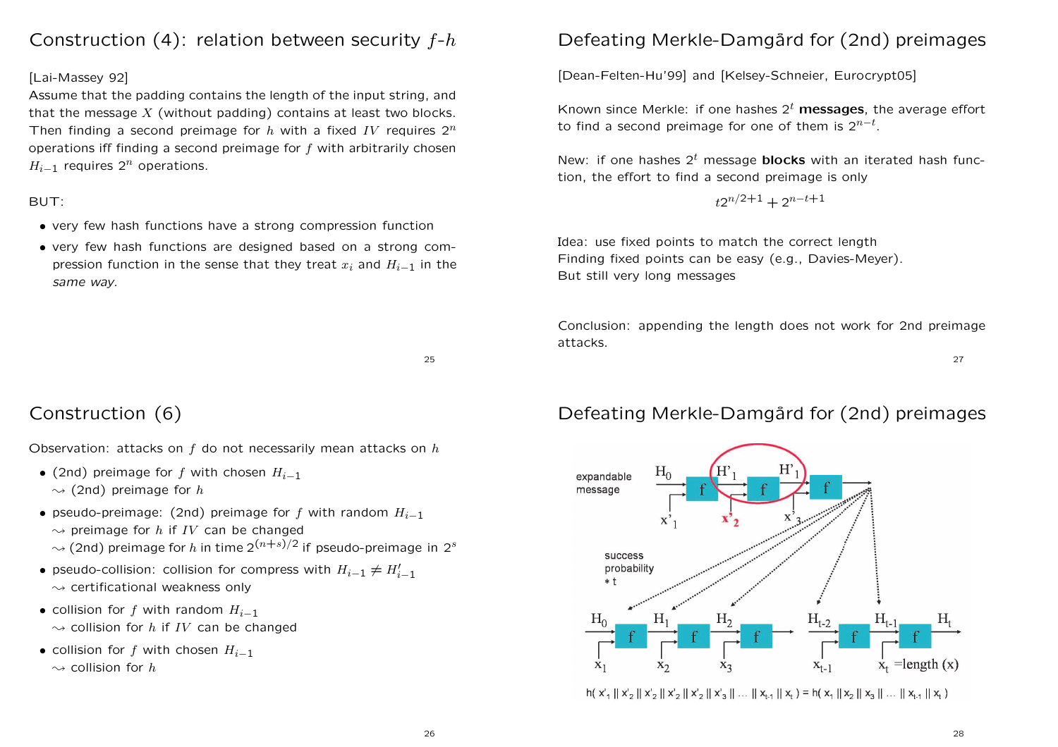# Construction  $(4)$ : relation between security  $f-h$

#### [Lai-Massey 92]

Assume that the padding contains the length of the input string, and that the message  $X$  (without padding) contains at least two blocks. Then finding a second preimage for h with a fixed IV requires  $2^n$ operations iff finding a second preimage for  $f$  with arbitrarily chosen  $H_{i-1}$  requires  $2^n$  operations.

#### BUT:

- very few hash functions have <sup>a</sup> strong compression function
- very few hash functions are designed based on <sup>a</sup> strong compression function in the sense that they treat  $x_i$  and  $H_{i-1}$  in the same way.

#### 25

# Construction (6)

Observation: attacks on  $f$  do not necessarily mean attacks on  $h$ 

- (2nd) preimage for f with chosen  $H_{i-1}$  $\rightsquigarrow$  (2nd) preimage for h
- pseudo-preimage: (2nd) preimage for f with random  $H_{i-1}$ 
	- $\rightsquigarrow$  preimage for h if IV can be changed
	- $\sim$  (2nd) preimage for h in time 2<sup>(n+s)</sup>/2 if pseudo-preimage in 2<sup>s</sup>
- pseudo-collision: collision for compress with  $H_{i-1} \neq H'_{i-1}$  $\rightsquigarrow$  certificational weakness only
- collision for f with random  $H_{i-1}$  $\rightsquigarrow$  collision for h if IV can be changed
- collision for f with chosen  $H_{i-1}$  $\rightsquigarrow$  collision for h

# Defeating Merkle-Damgård for (2nd) preimages

[Dean-Felten-Hu'99] and [Kelsey-Schneier, Eurocrypt05]

Known since Merkle: if one hashes  $2<sup>t</sup>$  messages, the average effort to find a second preimage for one of them is  $2^{n-t}$ .

New: if one hashes  $2<sup>t</sup>$  message **blocks** with an iterated hash function, the effort to find <sup>a</sup> second preimage is only

$$
t2^{n/2+1} + 2^{n-t+1}
$$

Idea: use fixed points to match the correct length Finding fixed points can be easy (e.g., Davies-Meyer). But still very long messages

Conclusion: appending the length does not work for 2nd preimage attacks.

27

## Defeating Merkle-Damgård for (2nd) preimages



 $h(X_1 \| X_2 \| X_2 \| X_2 \| X_2 \| X_3 \| ... \| X_{t-1} \| X_t) = h(X_1 \| X_2 \| X_3 \| ... \| X_{t-1} \| X_t)$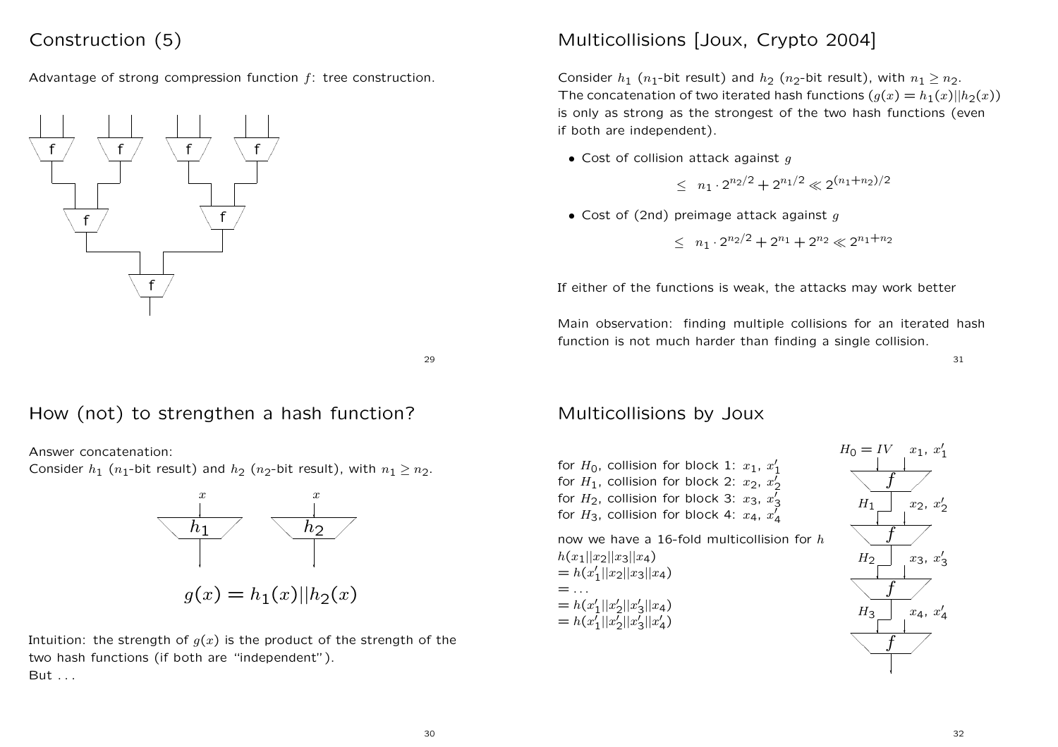# Construction (5)

Advantage of strong compression function  $f$ : tree construction.



# Multicollisions [Joux, Crypto 2004]

Consider  $h_1$  ( $n_1$ -bit result) and  $h_2$  ( $n_2$ -bit result), with  $n_1 > n_2$ . The concatenation of two iterated hash functions  $(q(x) = h_1(x)||h_2(x))$ is only as strong as the strongest of the two hash functions (even if both are independent).

• Cost of collision attack against  $q$ 

$$
\leq n_1 \cdot 2^{n_2/2} + 2^{n_1/2} \ll 2^{(n_1+n_2)/2}
$$

• Cost of (2nd) preimage attack against  $q$ 

$$
\leq n_1 \cdot 2^{n_2/2} + 2^{n_1} + 2^{n_2} \ll 2^{n_1+n_2}
$$

If either of the functions is weak, the attacks may work better

Main observation: finding multiple collisions for an iterated hash function is not much harder than finding <sup>a</sup> single collision.

31

#### 29

# How (not) to strengthen <sup>a</sup> hash function?

Answer concatenation:

Consider  $h_1$  ( $n_1$ -bit result) and  $h_2$  ( $n_2$ -bit result), with  $n_1 > n_2$ .



Intuition: the strength of  $g(x)$  is the product of the strength of the two hash functions (if both are "independent"). But . . .

## Multicollisions by Joux

for  $H_0$ , collision for block 1:  $x_1, x_1'$ for  $H_1$ , collision for block 2:  $x_2, x_2'$ for  $H_2$ , collision for block 3:  $x_3, x_3$ for  $H_3$ , collision for block 4:  $x_4$ ,  $x'_4$ 

now we have a 16-fold multicollision for  $h$  $h(x_1||x_2||x_3||x_4)$  $= h(x_1'||x_2||x_3||x_4)$  $=$  . . .  $= h(x_1'||x_2'||x_3'||x_4)$  $= h(x_1'||x_2'||x_3'||x_4')$ 

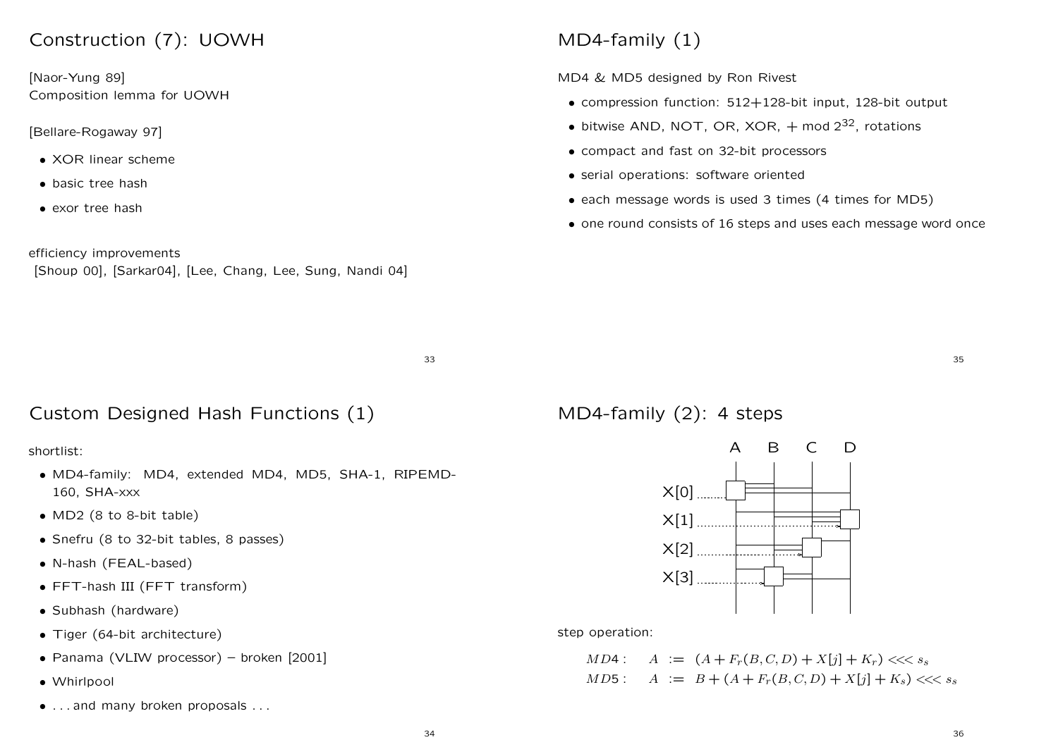# Construction (7): UOWH

[Naor-Yung 89] Composition lemma for UOWH

#### [Bellare-Rogaway 97]

- XOR linear scheme
- basic tree hash
- exor tree hash

efficiency improvements

[Shoup 00], [Sarkar04], [Lee, Chang, Lee, Sung, Nandi 04]

# MD4-family (1)

MD4 & MD5 designed by Ron Rivest

- compression function: 512+128-bit input, 128-bit output
- $\bullet$  bitwise AND, NOT, OR, XOR,  $+$  mod  $2^{32}$ , rotations
- compact and fast on 32-bit processors
- serial operations: software oriented
- each message words is used 3 times (4 times for MD5)
- one round consists of 16 steps and uses each message word once

33

# Custom Designed Hash Functions (1)

### shortlist:

- MD4-family: MD4, extended MD4, MD5, SHA-1, RIPEMD-160, SHA-xxx
- MD2 (8 to 8-bit table)
- Snefru (8 to 32-bit tables, 8 passes)
- N-hash (FEAL-based)
- FFT-hash III (FFT transform)
- Subhash (hardware)
- Tiger (64-bit architecture)
- Panama (VLIW processor) broken [2001]
- Whirlpool
- . . . and many broken proposals . . .

MD4-family (2): <sup>4</sup> steps



step operation:

 $MD4$ :  $A := (A + F_r(B, C, D) + X[j] + K_r)$  <<< ss  $MD5: A := B + (A + F_r(B, C, D) + X[i] + K_s) \ll s_s$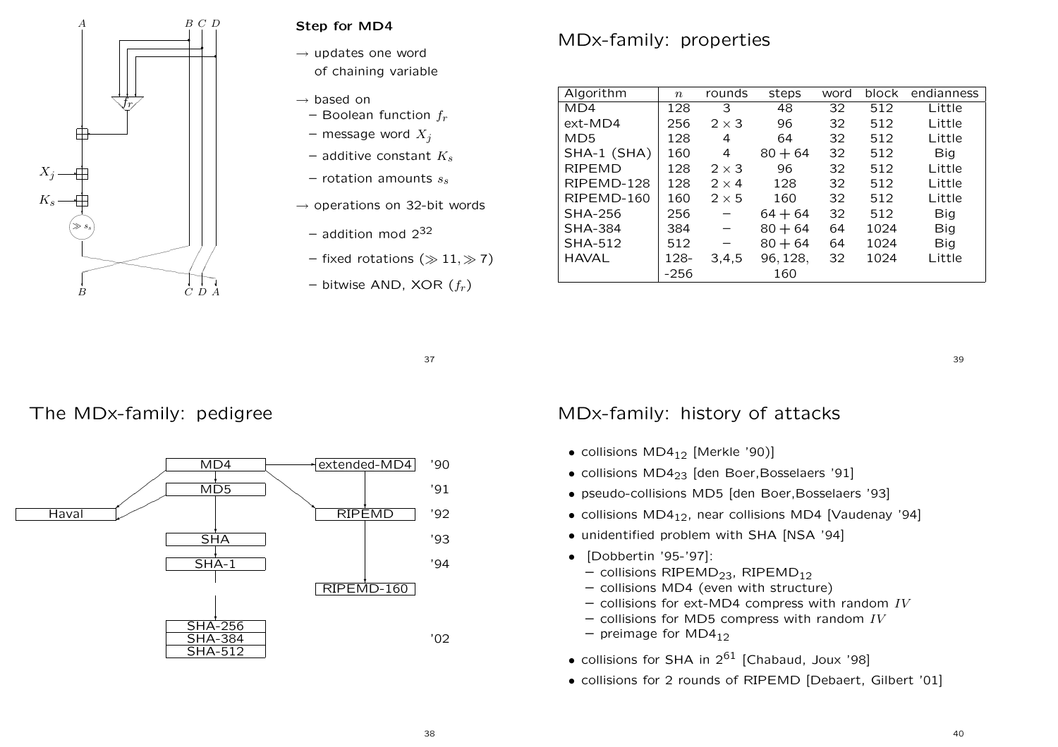

### Step for MD4

 $\rightarrow$  updates one word of chaining variable

- $\rightarrow$  based on
- Boolean function  $f_{r}$
- message word  $X_j$
- additive constant  $K_s$
- rotation amounts  $s_{s}$
- $\rightarrow$  operations on 32-bit words
	- addition mod 2 $^{32}$
	- fixed rotations ( $\gg 11, \gg 7)$
	- bitwise AND, XOR  $(f_r)$

# MDx-family: properties

| Algorithm       | $\boldsymbol{n}$ | rounds                   | steps     | word | block | endianness |  |
|-----------------|------------------|--------------------------|-----------|------|-------|------------|--|
| MD4             | 128              | 3                        | 48        | 32   | 512   | Little     |  |
| $ext-MD4$       | 256              | $2 \times 3$             | 96        | 32   | 512   | Little     |  |
| MD <sub>5</sub> | 128              | 4                        | 64        | 32   | 512   | Little     |  |
| SHA-1 (SHA)     | 160              | 4                        | $80 + 64$ | 32   | 512   | Big        |  |
| <b>RIPEMD</b>   | 128              | $2 \times 3$             | 96        | 32   | 512   | Little     |  |
| RIPEMD-128      | 128              | $2 \times 4$             | 128       | 32   | 512   | Little     |  |
| RIPEMD-160      | 160              | $2 \times 5$             | 160       | 32   | 512   | Little     |  |
| <b>SHA-256</b>  | 256              | $\qquad \qquad -$        | $64 + 64$ | 32   | 512   | Big        |  |
| <b>SHA-384</b>  | 384              | $\overline{\phantom{m}}$ | $80 + 64$ | 64   | 1024  | Big        |  |
| <b>SHA-512</b>  | 512              |                          | $80 + 64$ | 64   | 1024  | Big        |  |
| <b>HAVAL</b>    | 128-             | 3,4,5                    | 96, 128,  | 32   | 1024  | Little     |  |
|                 | $-256$           |                          | 160       |      |       |            |  |

37

## The MDx-family: pedigree



## MDx-family: history of attacks

- $\bullet$  collisions MD4<sub>12</sub> [Merkle '90)]
- collisions MD4<sub>23</sub> [den Boer, Bosselaers '91]
- pseudo-collisions MD5 [den Boer,Bosselaers '93]
- collisions  $MD4_{12}$ , near collisions MD4 [Vaudenay '94]
- unidentified problem with SHA [NSA '94]
- [Dobbertin '95-'97]:
	- collisions RIPEMD $_{23}$ , RIPEMD $_{12}$
	- collisions MD4 (even with structure)
	- $-$  collisions for ext-MD4 compress with random  $IV$
	- $-$  collisions for MD5 compress with random  $IV$
	- $-$  preimage for MD4 $_{12}$
- collisions for SHA in  $2^{61}$  [Chabaud, Joux '98]
- collisions for 2 rounds of RIPEMD [Debaert, Gilbert '01]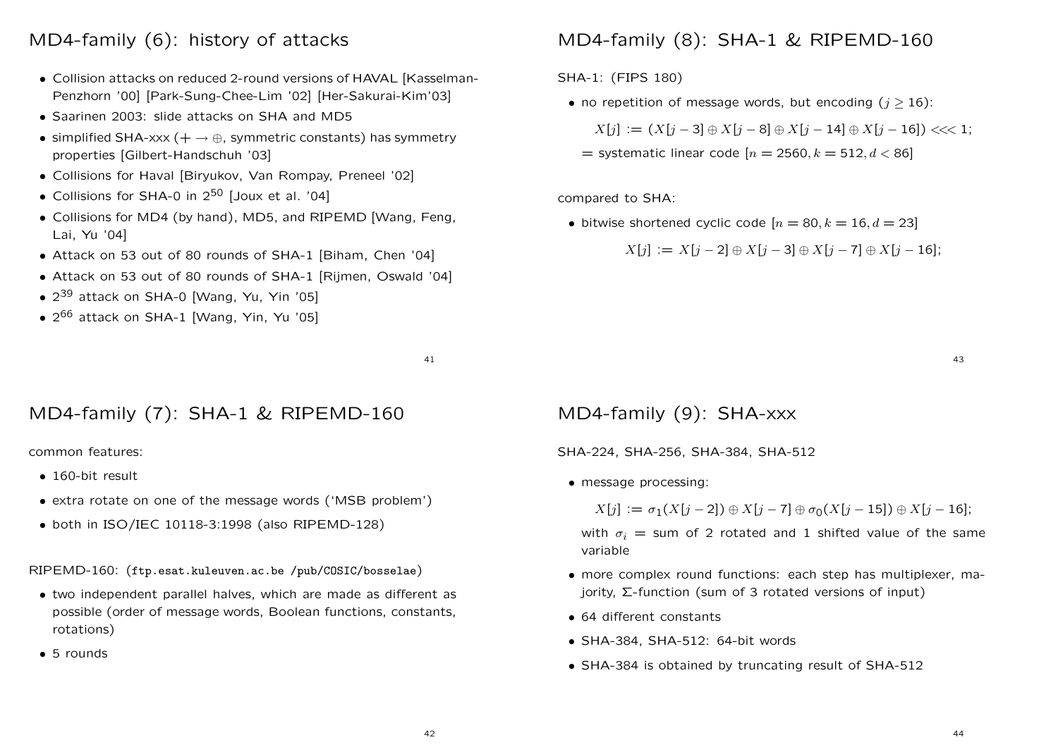# MD4-family (6): history of attacks

- Collision attacks on reduced 2-round versions of HAVAL [Kasselman-Penzhorn '00] [Park-Sung-Chee-Lim '02] [Her-Sakurai-Kim'03]
- Saarinen 2003: slide attacks on SHA and MD5
- simplified SHA-xxx ( $+ \rightarrow \oplus$ , symmetric constants) has symmetry properties [Gilbert-Handschuh '03]
- Collisions for Haval [Biryukov, Van Rompay, Preneel '02]
- Collisions for SHA-0 in  $2^{50}$  [Joux et al. '04]
- Collisions for MD4 (by hand), MD5, and RIPEMD [Wang, Feng, Lai, Yu '04]
- Attack on 53 out of 80 rounds of SHA-1 [Biham, Chen '04]
- Attack on 53 out of 80 rounds of SHA-1 [Rijmen, Oswald '04]
- 2<sup>39</sup> attack on SHA-0 [Wang, Yu, Yin '05]
- 2<sup>66</sup> attack on SHA-1 [Wang, Yin, Yu '05]

41

# MD4-family (7): SHA-1 & RIPEMD-160

common features:

- 160-bit result
- extra rotate on one of the message words ('MSB problem')
- both in ISO/IEC 10118-3:1998 (also RIPEMD-128)

RIPEMD-160: (ftp.esat.kuleuven.ac.be /pub/COSIC/bosselae)

- two independent parallel halves, which are made as different as possible (order of message words, Boolean functions, constants, rotations)
- 5 rounds

# MD4-family (8): SHA-1 & RIPEMD-160

SHA-1: (FIPS 180)

• no repetition of message words, but encoding  $(j \geq 16)$ :

$$
X[j] := (X[j-3] \oplus X[j-8] \oplus X[j-14] \oplus X[j-16]) \lllt; 1;
$$

 $=$  systematic linear code  $[n = 2560, k = 512, d < 86]$ 

compared to SHA:

• bitwise shortened cyclic code  $[n = 80, k = 16, d = 23]$ 

 $X[i] := X[i-2] \oplus X[i-3] \oplus X[i-7] \oplus X[i-16]$ ;

43

## MD4-family (9): SHA-xxx

SHA-224, SHA-256, SHA-384, SHA-512

• message processing:

 $X[i] := \sigma_1(X[i-2]) \oplus X[i-7] \oplus \sigma_0(X[i-15]) \oplus X[i-16];$ 

with  $\sigma_i$  = sum of 2 rotated and 1 shifted value of the same variable

- more complex round functions: each step has multiplexer, majority, Σ-function (sum of 3 rotated versions of input)
- 64 different constants
- SHA-384, SHA-512: 64-bit words
- SHA-384 is obtained by truncating result of SHA-512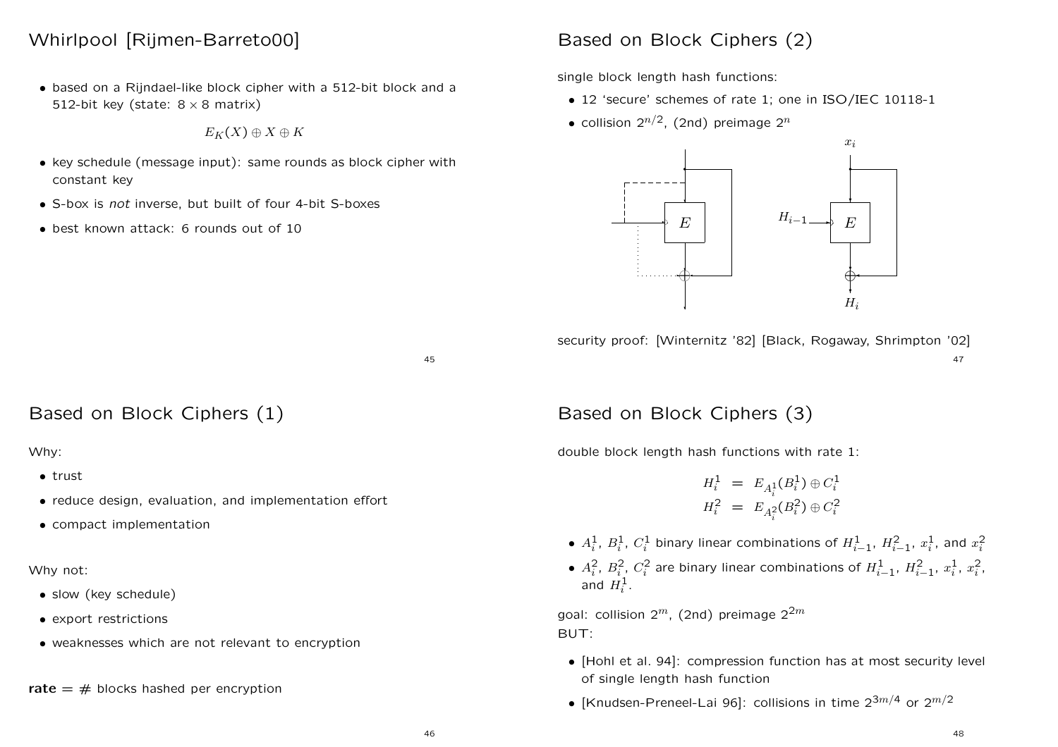## Whirlpool [Rijmen-Barreto00]

• based on <sup>a</sup> Rijndael-like block cipher with <sup>a</sup> 512-bit block and <sup>a</sup> 512-bit key (state:  $8 \times 8$  matrix)

$$
E_K(X)\oplus X\oplus K
$$

- key schedule (message input): same rounds as block cipher with constant key
- S-box is not inverse, but built of four 4-bit S-boxes
- best known attack: 6 rounds out of 10

## Based on Block Ciphers (2)

single block length hash functions:

- 12 'secure' schemes of rate 1; one in ISO/IEC 10118-1
- collision  $2^{n/2}$ . (2nd) preimage  $2^n$



security proof: [Winternitz '82] [Black, Rogaway, Shrimpton '02] 47

Based on Block Ciphers (1)

#### Why:

- trust
- reduce design, evaluation, and implementation effort
- compact implementation

#### Why not:

- slow (key schedule)
- export restrictions
- weaknesses which are not relevant to encryption

rate  $=$   $#$  blocks hashed per encryption

## Based on Block Ciphers (3)

double block length hash functions with rate 1:

$$
H_i^1 = E_{A_i^1}(B_i^1) \oplus C_i^1
$$
  

$$
H_i^2 = E_{A_i^2}(B_i^2) \oplus C_i^2
$$

- $A_i^1$ ,  $B_i^1$ ,  $C_i^1$  binary linear combinations of  $H_{i-1}^1$ ,  $H_{i-1}^2$ ,  $x_i^1$ , and  $x_i^2$
- $A_i^2$ ,  $B_i^2$ ,  $C_i^2$  are binary linear combinations of  $H_{i-1}^1$ ,  $H_{i-1}^2$ ,  $x_i^1$ ,  $x_i^2$ , and  $H_i^1$ .

goal: collision  $2^m$ , (2nd) preimage  $2^{2m}$ BUT:

- [Hohl et al. 94]: compression function has at most security level of single length hash function
- [Knudsen-Preneel-Lai 96]: collisions in time  $2^{3m/4}$  or  $2^{m/2}$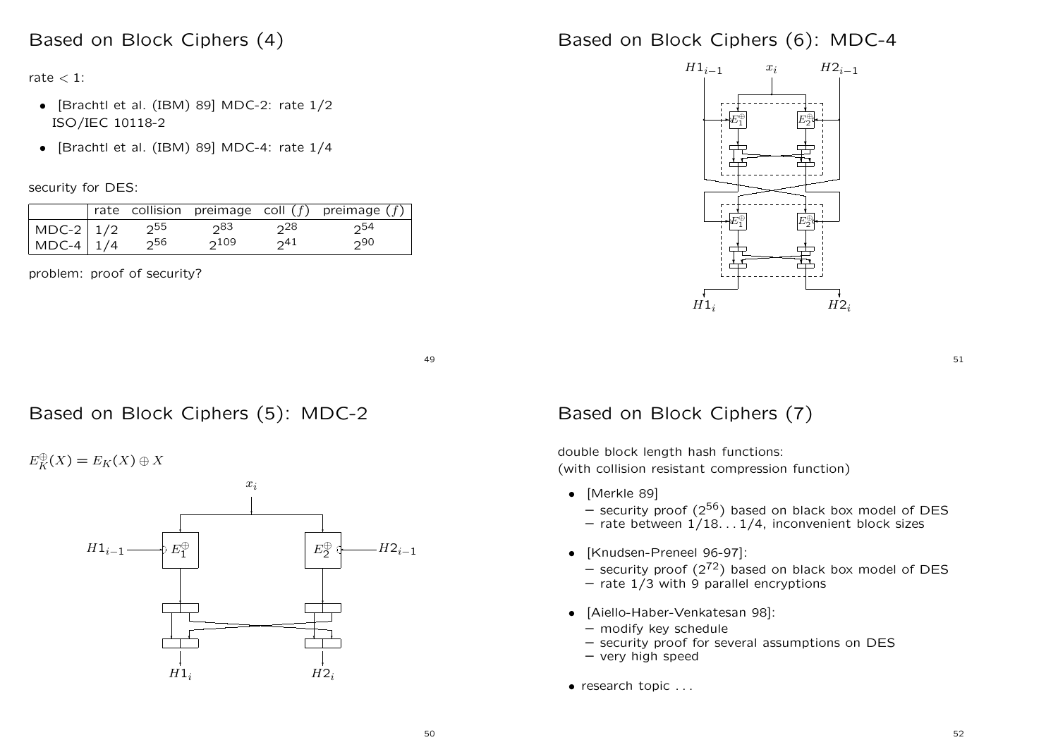### Based on Block Ciphers (4)

rate  $<$  1:

- [Brachtl et al. (IBM) 89] MDC-2: rate 1/2 ISO/IEC 10118-2
- [Brachtl et al. (IBM) 89] MDC-4: rate 1/4

security for DES:

|                   |       |           |                  | rate collision preimage coll $(f)$ preimage $(f)$ |
|-------------------|-------|-----------|------------------|---------------------------------------------------|
| $MDC-2$ 1/2       | ົ່າ55 | ე83       |                  | 254                                               |
| MDC-4 $\vert$ 1/4 | ე56   | $2^{109}$ | ົາ <sup>41</sup> | 290                                               |

problem: proof of security?

Based on Block Ciphers (6): MDC-4



51

49

## Based on Block Ciphers (5): MDC-2

 $E_K^{\oplus}(X) = E_K(X) \oplus X$ 



## Based on Block Ciphers (7)

double block length hash functions: (with collision resistant compression function)

- [Merkle 89]
	- security proof  $(2^{56})$  based on black box model of DES
	- rate between 1/18. . . 1/4, inconvenient block sizes
- [Knudsen-Preneel 96-97]:
	- $-$  security proof  $(2^{72})$  based on black box model of DES
	- rate 1/3 with 9 parallel encryptions
- [Aiello-Haber-Venkatesan 98]:
	- modify key schedule
	- security proof for several assumptions on DES
	- very high speed
- research topic . . .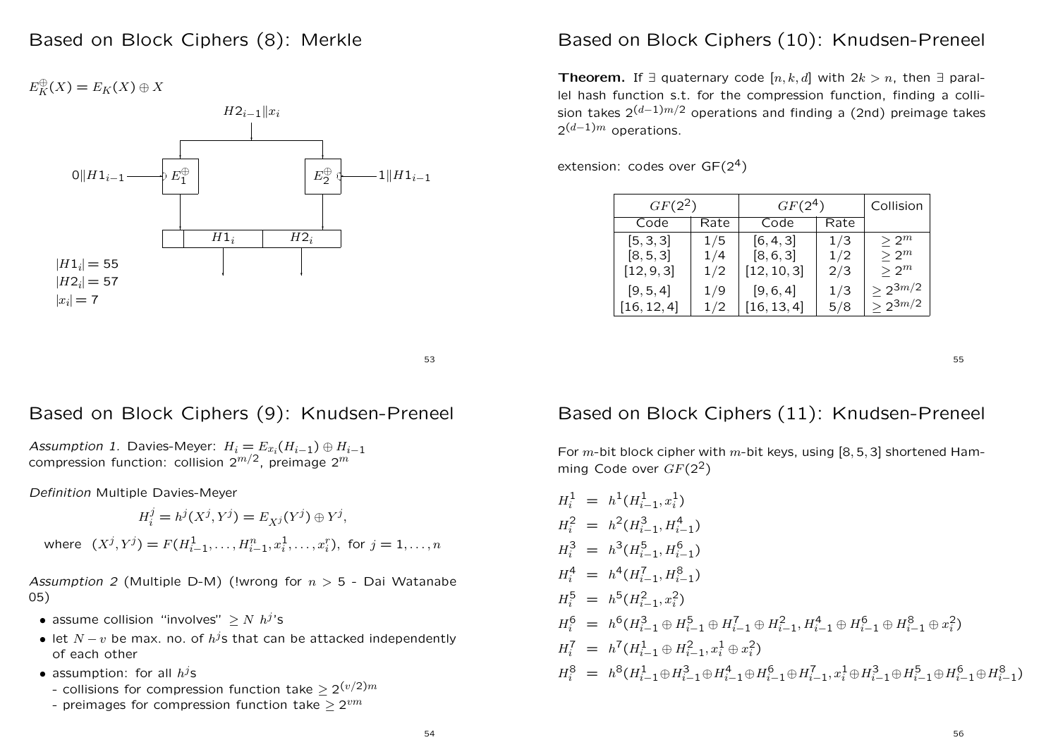$E_K^{\oplus}(X) = E_K(X) \oplus X$ 



### Based on Block Ciphers (10): Knudsen-Preneel

**Theorem.** If  $\exists$  quaternary code  $[n, k, d]$  with  $2k > n$ , then  $\exists$  parallel hash function s.t. for the compression function, finding <sup>a</sup> collision takes  $2^{(d-1)m/2}$  operations and finding a (2nd) preimage takes  $2^{(d-1)m}$  operations.

extension: codes over  $GF(2<sup>4</sup>)$ 

| $GF(2^2)$   |      | $GF(2^4)$   | Collision |              |
|-------------|------|-------------|-----------|--------------|
| Code        | Rate | Code        | Rate      |              |
| [5, 3, 3]   | 1/5  | [6, 4, 3]   | 1/3       | $> 2^m$      |
| [8, 5, 3]   | 1/4  | [8, 6, 3]   | 1/2       | $> 2^m$      |
| [12, 9, 3]  | 1/2  | [12, 10, 3] | 2/3       | $> 2^m$      |
| [9, 5, 4]   | 1/9  | [9, 6, 4]   | 1/3       | $> 2^{3m/2}$ |
| [16, 12, 4] | 1/2  | [16, 13, 4] | 5/8       | $> 2^{3m/2}$ |

53

### Based on Block Ciphers (9): Knudsen-Preneel

Assumption 1. Davies-Meyer:  $H_i = E_{x_i}(H_{i-1}) \oplus H_{i-1}$ compression function: collision  $2^{m/2}$ , preimage  $2^m$ 

Definition Multiple Davies-Meyer

$$
H_i^j = h^j(X^j, Y^j) = E_{X^j}(Y^j) \oplus Y^j,
$$

where 
$$
(X^j, Y^j) = F(H_{i-1}^1, \ldots, H_{i-1}^n, x_i^1, \ldots, x_i^r)
$$
, for  $j = 1, \ldots, n$ 

Assumption 2 (Multiple D-M) (!wrong for  $n > 5$  - Dai Watanabe 05)

- assume collision "involves"  $> N h^{j}$ 's
- let  $N v$  be max. no. of  $h^{j}$ s that can be attacked independently of each other
- assumption: for all  $h^{j}$ s
	- collisions for compression function take  $\geq 2^{(v/2)m}$
	- preimages for compression function take  $\geq 2^{vm}$

## Based on Block Ciphers (11): Knudsen-Preneel

For m-bit block cipher with m-bit keys, using  $[8, 5, 3]$  shortened Hamming Code over  $GF(2^2)$ 

$$
H_i^1 = h^1(H_{i-1}^1, x_i^1)
$$
  
\n
$$
H_i^2 = h^2(H_{i-1}^3, H_{i-1}^4)
$$
  
\n
$$
H_i^3 = h^3(H_{i-1}^5, H_{i-1}^6)
$$
  
\n
$$
H_i^4 = h^4(H_{i-1}^7, H_{i-1}^8)
$$
  
\n
$$
H_i^5 = h^5(H_{i-1}^2, x_i^2)
$$
  
\n
$$
H_i^6 = h^6(H_{i-1}^3 \oplus H_{i-1}^5 \oplus H_{i-1}^7 \oplus H_{i-1}^2 \oplus H_{i-1}^6 \oplus H_{i-1}^8 \oplus x_i^2)
$$
  
\n
$$
H_i^7 = h^7(H_{i-1}^1 \oplus H_{i-1}^2, x_i^1 \oplus x_i^2)
$$
  
\n
$$
H_i^8 = h^8(H_{i-1}^1 \oplus H_{i-1}^3 \oplus H_{i-1}^4 \oplus H_{i-1}^6 \oplus H_{i-1}^7, x_i^1 \oplus H_{i-1}^3 \oplus H_{i-1}^5 \oplus H_{i-1}^6 \oplus H_{i-1}^8)
$$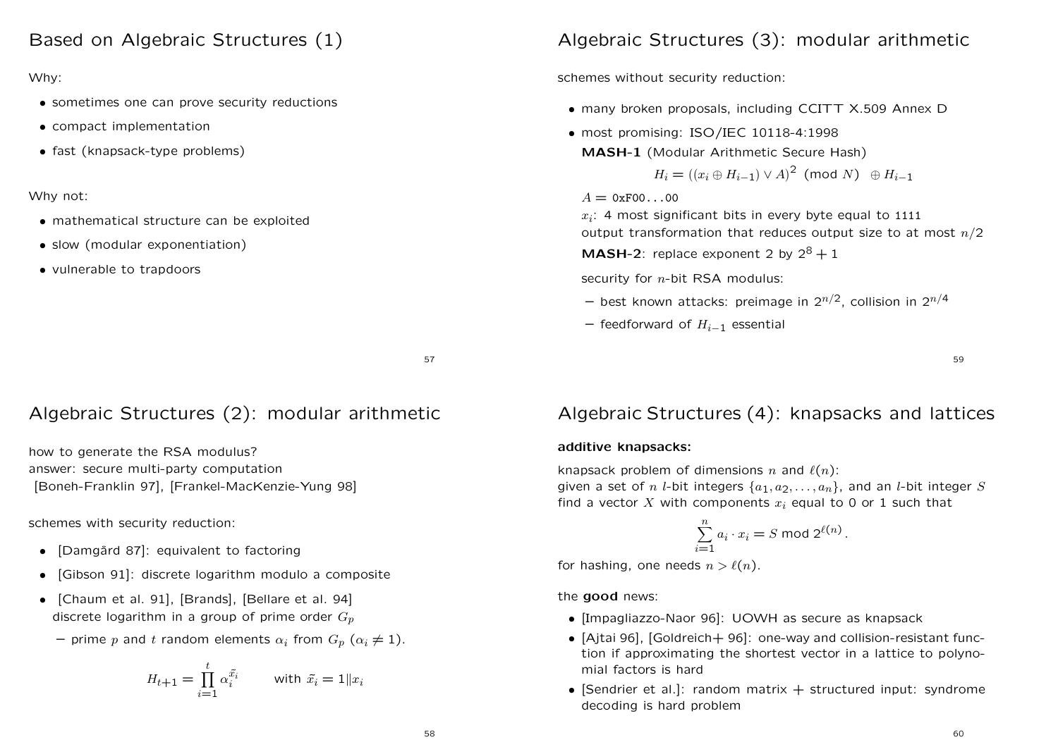### Based on Algebraic Structures (1)

#### Why:

- sometimes one can prove security reductions
- compact implementation
- fast (knapsack-type problems)

#### Why not:

- mathematical structure can be exploited
- slow (modular exponentiation)
- vulnerable to trapdoors

# Algebraic Structures (3): modular arithmetic

schemes without security reduction:

- many broken proposals, including CCITT X.509 Annex D
- most promising: ISO/IEC 10118-4:1998 MASH-1 (Modular Arithmetic Secure Hash)

$$
H_i = ((x_i \oplus H_{i-1}) \vee A)^2 \pmod{N} \oplus H_{i-1}
$$

 $A = 0xF00...00$ 

 $x_i$ : 4 most significant bits in every byte equal to 1111 output transformation that reduces output size to at most  $n/2$ 

**MASH-2:** replace exponent 2 by  $2^8 + 1$ 

security for  $n$ -bit RSA modulus:

- $-$  best known attacks: preimage in  $2^{n/2}$ , collision in  $2^{n/4}$
- $-$  feedforward of  $H_{i-1}$  essential

59

## 57

# Algebraic Structures (2): modular arithmetic

how to generate the RSA modulus? answer: secure multi-party computation [Boneh-Franklin 97], [Frankel-MacKenzie-Yung 98]

schemes with security reduction:

- [Damgård 87]: equivalent to factoring
- [Gibson 91]: discrete logarithm modulo <sup>a</sup> composite
- [Chaum et al. 91], [Brands], [Bellare et al. 94] discrete logarithm in a group of prime order  $G_p$ 
	- prime  $p$  and  $t$  random elements  $\alpha_i$  from  $G_p$   $(\alpha_i \neq 1).$

$$
H_{t+1} = \prod_{i=1}^{t} \alpha_i^{\tilde{x}_i} \qquad \text{with } \tilde{x}_i = 1 \| x_i
$$

# Algebraic Structures (4): knapsacks and lattices

### additive knapsacks:

knapsack problem of dimensions n and  $\ell(n)$ : given a set of n *l*-bit integers  $\{a_1, a_2, \ldots, a_n\}$ , and an *l*-bit integer S find a vector X with components  $x_i$  equal to 0 or 1 such that

$$
\sum_{i=1}^{n} a_i \cdot x_i = S \bmod 2^{\ell(n)}.
$$

for hashing, one needs  $n > \ell(n)$ .

the good news:

- [Impagliazzo-Naor 96]: UOWH as secure as knapsack
- [Ajtai 96], [Goldreich+ 96]: one-way and collision-resistant function if approximating the shortest vector in <sup>a</sup> lattice to polynomial factors is hard
- [Sendrier et al.]: random matrix  $+$  structured input: syndrome decoding is hard problem